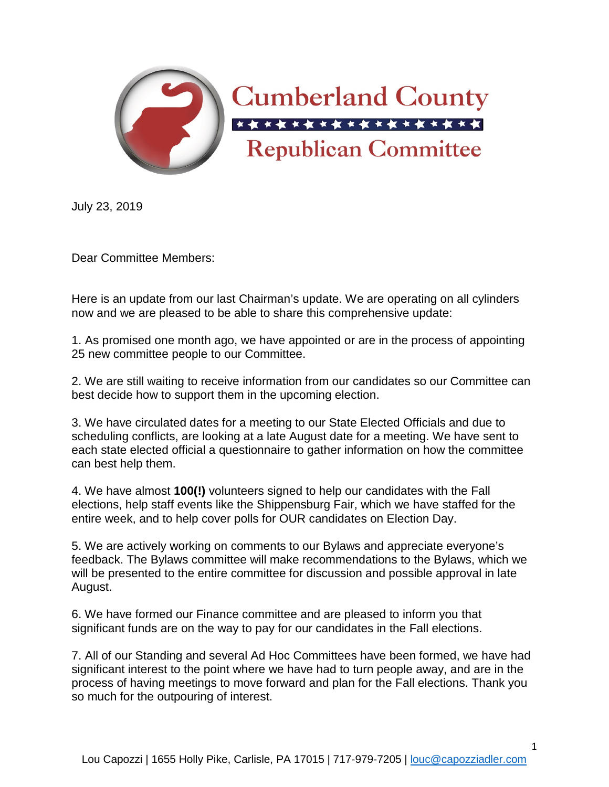

July 23, 2019

Dear Committee Members:

Here is an update from our last Chairman's update. We are operating on all cylinders now and we are pleased to be able to share this comprehensive update:

1. As promised one month ago, we have appointed or are in the process of appointing 25 new committee people to our Committee.

2. We are still waiting to receive information from our candidates so our Committee can best decide how to support them in the upcoming election.

3. We have circulated dates for a meeting to our State Elected Officials and due to scheduling conflicts, are looking at a late August date for a meeting. We have sent to each state elected official a questionnaire to gather information on how the committee can best help them.

4. We have almost **100(!)** volunteers signed to help our candidates with the Fall elections, help staff events like the Shippensburg Fair, which we have staffed for the entire week, and to help cover polls for OUR candidates on Election Day.

5. We are actively working on comments to our Bylaws and appreciate everyone's feedback. The Bylaws committee will make recommendations to the Bylaws, which we will be presented to the entire committee for discussion and possible approval in late August.

6. We have formed our Finance committee and are pleased to inform you that significant funds are on the way to pay for our candidates in the Fall elections.

7. All of our Standing and several Ad Hoc Committees have been formed, we have had significant interest to the point where we have had to turn people away, and are in the process of having meetings to move forward and plan for the Fall elections. Thank you so much for the outpouring of interest.